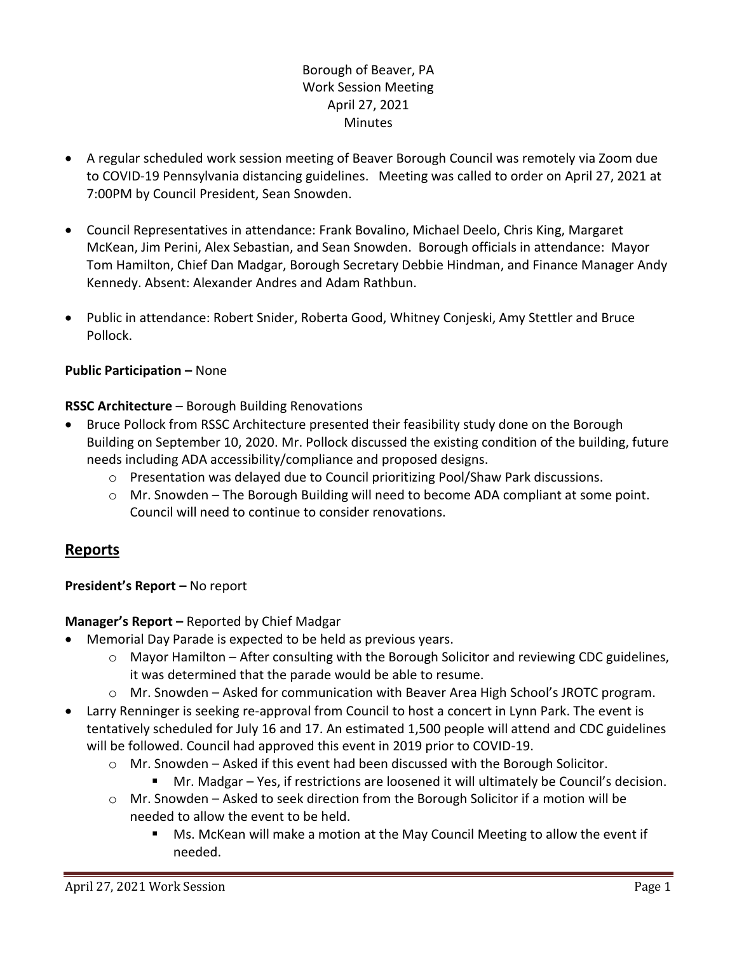# Borough of Beaver, PA Work Session Meeting April 27, 2021 **Minutes**

- A regular scheduled work session meeting of Beaver Borough Council was remotely via Zoom due to COVID-19 Pennsylvania distancing guidelines. Meeting was called to order on April 27, 2021 at 7:00PM by Council President, Sean Snowden.
- Council Representatives in attendance: Frank Bovalino, Michael Deelo, Chris King, Margaret McKean, Jim Perini, Alex Sebastian, and Sean Snowden. Borough officials in attendance: Mayor Tom Hamilton, Chief Dan Madgar, Borough Secretary Debbie Hindman, and Finance Manager Andy Kennedy. Absent: Alexander Andres and Adam Rathbun.
- Public in attendance: Robert Snider, Roberta Good, Whitney Conjeski, Amy Stettler and Bruce Pollock.

## **Public Participation –** None

# **RSSC Architecture** – Borough Building Renovations

- Bruce Pollock from RSSC Architecture presented their feasibility study done on the Borough Building on September 10, 2020. Mr. Pollock discussed the existing condition of the building, future needs including ADA accessibility/compliance and proposed designs.
	- $\circ$  Presentation was delayed due to Council prioritizing Pool/Shaw Park discussions.
	- $\circ$  Mr. Snowden The Borough Building will need to become ADA compliant at some point. Council will need to continue to consider renovations.

# **Reports**

# **President's Report –** No report

## **Manager's Report –** Reported by Chief Madgar

- Memorial Day Parade is expected to be held as previous years.
	- $\circ$  Mayor Hamilton After consulting with the Borough Solicitor and reviewing CDC guidelines, it was determined that the parade would be able to resume.
	- o Mr. Snowden Asked for communication with Beaver Area High School's JROTC program.
- Larry Renninger is seeking re-approval from Council to host a concert in Lynn Park. The event is tentatively scheduled for July 16 and 17. An estimated 1,500 people will attend and CDC guidelines will be followed. Council had approved this event in 2019 prior to COVID-19.
	- o Mr. Snowden Asked if this event had been discussed with the Borough Solicitor.
		- Mr. Madgar Yes, if restrictions are loosened it will ultimately be Council's decision.
	- $\circ$  Mr. Snowden Asked to seek direction from the Borough Solicitor if a motion will be needed to allow the event to be held.
		- Ms. McKean will make a motion at the May Council Meeting to allow the event if needed.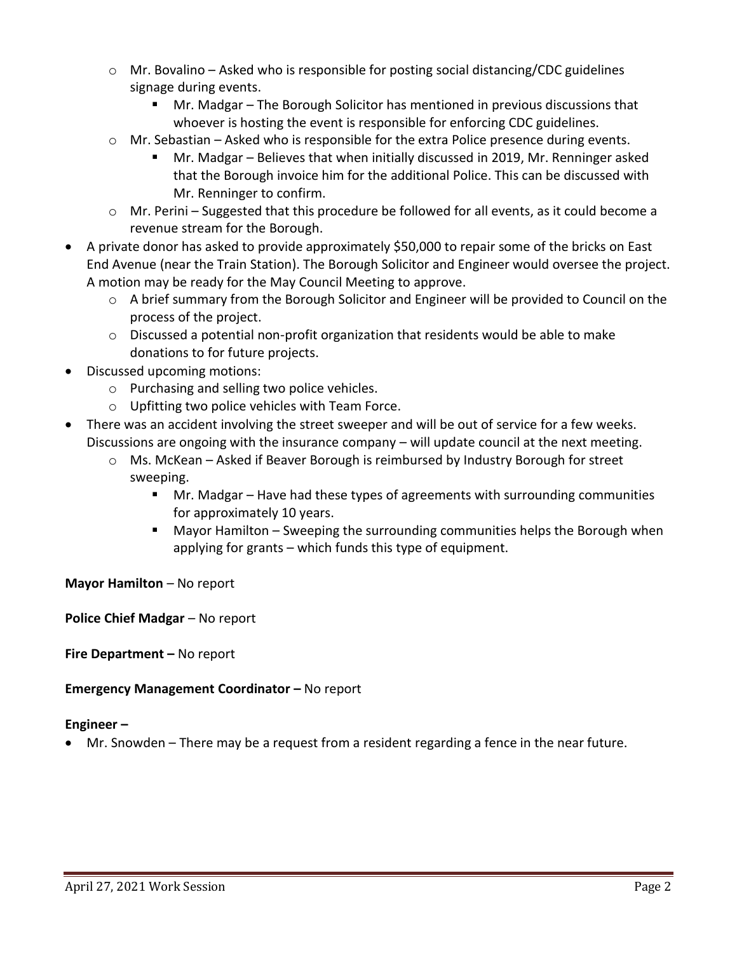- $\circ$  Mr. Bovalino Asked who is responsible for posting social distancing/CDC guidelines signage during events.
	- Mr. Madgar The Borough Solicitor has mentioned in previous discussions that whoever is hosting the event is responsible for enforcing CDC guidelines.
- $\circ$  Mr. Sebastian Asked who is responsible for the extra Police presence during events.
	- Mr. Madgar Believes that when initially discussed in 2019, Mr. Renninger asked that the Borough invoice him for the additional Police. This can be discussed with Mr. Renninger to confirm.
- o Mr. Perini Suggested that this procedure be followed for all events, as it could become a revenue stream for the Borough.
- A private donor has asked to provide approximately \$50,000 to repair some of the bricks on East End Avenue (near the Train Station). The Borough Solicitor and Engineer would oversee the project. A motion may be ready for the May Council Meeting to approve.
	- o A brief summary from the Borough Solicitor and Engineer will be provided to Council on the process of the project.
	- $\circ$  Discussed a potential non-profit organization that residents would be able to make donations to for future projects.
- Discussed upcoming motions:
	- o Purchasing and selling two police vehicles.
	- o Upfitting two police vehicles with Team Force.
- There was an accident involving the street sweeper and will be out of service for a few weeks. Discussions are ongoing with the insurance company – will update council at the next meeting.
	- $\circ$  Ms. McKean Asked if Beaver Borough is reimbursed by Industry Borough for street sweeping.
		- Mr. Madgar Have had these types of agreements with surrounding communities for approximately 10 years.
		- Mayor Hamilton Sweeping the surrounding communities helps the Borough when applying for grants – which funds this type of equipment.

## **Mayor Hamilton** – No report

**Police Chief Madgar** – No report

**Fire Department –** No report

## **Emergency Management Coordinator – No report**

#### **Engineer –**

Mr. Snowden – There may be a request from a resident regarding a fence in the near future.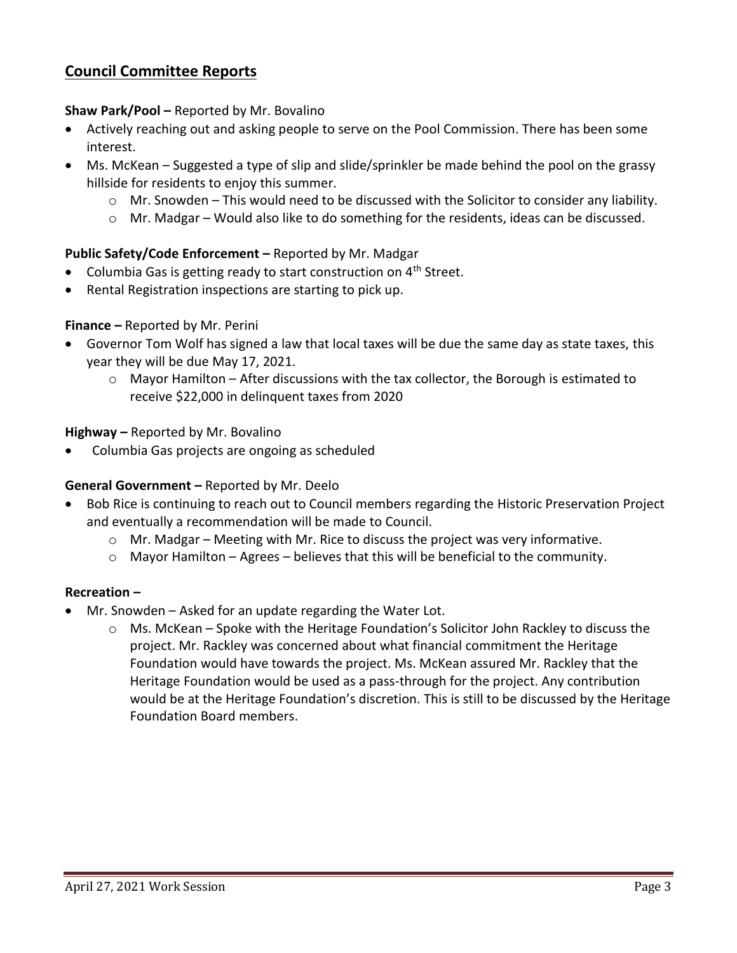# **Council Committee Reports**

#### **Shaw Park/Pool –** Reported by Mr. Bovalino

- Actively reaching out and asking people to serve on the Pool Commission. There has been some interest.
- Ms. McKean Suggested a type of slip and slide/sprinkler be made behind the pool on the grassy hillside for residents to enjoy this summer.
	- o Mr. Snowden This would need to be discussed with the Solicitor to consider any liability.
	- o Mr. Madgar Would also like to do something for the residents, ideas can be discussed.

# **Public Safety/Code Enforcement –** Reported by Mr. Madgar

- Columbia Gas is getting ready to start construction on  $4<sup>th</sup>$  Street.
- Rental Registration inspections are starting to pick up.

#### **Finance –** Reported by Mr. Perini

- Governor Tom Wolf has signed a law that local taxes will be due the same day as state taxes, this year they will be due May 17, 2021.
	- o Mayor Hamilton After discussions with the tax collector, the Borough is estimated to receive \$22,000 in delinquent taxes from 2020

#### **Highway –** Reported by Mr. Bovalino

Columbia Gas projects are ongoing as scheduled

## **General Government –** Reported by Mr. Deelo

- Bob Rice is continuing to reach out to Council members regarding the Historic Preservation Project and eventually a recommendation will be made to Council.
	- $\circ$  Mr. Madgar Meeting with Mr. Rice to discuss the project was very informative.
	- o Mayor Hamilton Agrees believes that this will be beneficial to the community.

#### **Recreation –**

- Mr. Snowden Asked for an update regarding the Water Lot.
	- o Ms. McKean Spoke with the Heritage Foundation's Solicitor John Rackley to discuss the project. Mr. Rackley was concerned about what financial commitment the Heritage Foundation would have towards the project. Ms. McKean assured Mr. Rackley that the Heritage Foundation would be used as a pass-through for the project. Any contribution would be at the Heritage Foundation's discretion. This is still to be discussed by the Heritage Foundation Board members.